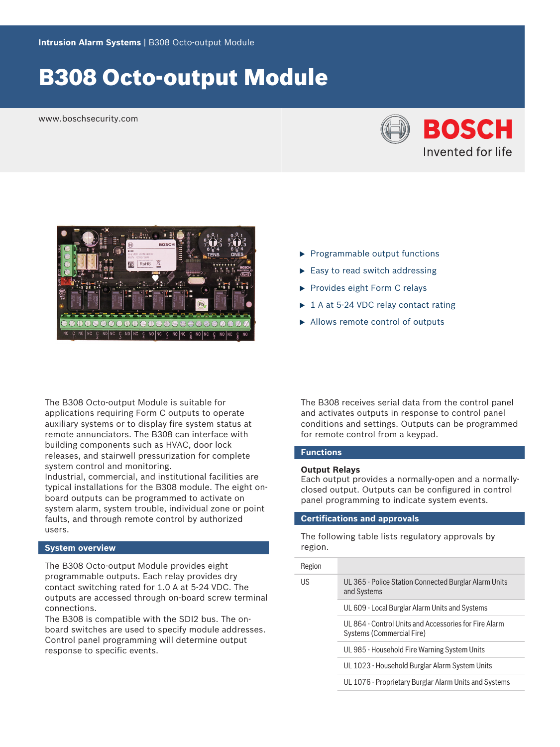# B308 Octo-output Module

www.boschsecurity.com





The B308 Octo-output Module is suitable for applications requiring Form C outputs to operate auxiliary systems or to display fire system status at remote annunciators. The B308 can interface with building components such as HVAC, door lock releases, and stairwell pressurization for complete system control and monitoring.

Industrial, commercial, and institutional facilities are typical installations for the B308 module. The eight onboard outputs can be programmed to activate on system alarm, system trouble, individual zone or point faults, and through remote control by authorized users.

# **System overview**

The B308 Octo-output Module provides eight programmable outputs. Each relay provides dry contact switching rated for 1.0 A at 5-24 VDC. The outputs are accessed through on-board screw terminal connections.

The B308 is compatible with the SDI2 bus. The onboard switches are used to specify module addresses. Control panel programming will determine output response to specific events.

- $\blacktriangleright$  Programmable output functions
- $\blacktriangleright$  Easy to read switch addressing
- $\blacktriangleright$  Provides eight Form C relays
- $\triangleright$  1 A at 5-24 VDC relay contact rating
- $\blacktriangleright$  Allows remote control of outputs

The B308 receives serial data from the control panel and activates outputs in response to control panel conditions and settings. Outputs can be programmed for remote control from a keypad.

## **Functions**

### **Output Relays**

Each output provides a normally-open and a normallyclosed output. Outputs can be configured in control panel programming to indicate system events.

# **Certifications and approvals**

The following table lists regulatory approvals by region.

| Region |                                                                                    |
|--------|------------------------------------------------------------------------------------|
| US.    | UL 365 - Police Station Connected Burglar Alarm Units<br>and Systems               |
|        | UL 609 - Local Burglar Alarm Units and Systems                                     |
|        | UL 864 - Control Units and Accessories for Fire Alarm<br>Systems (Commercial Fire) |
|        | UL 985 - Household Fire Warning System Units                                       |
|        | UL 1023 - Household Burglar Alarm System Units                                     |
|        | UL 1076 - Proprietary Burglar Alarm Units and Systems                              |
|        |                                                                                    |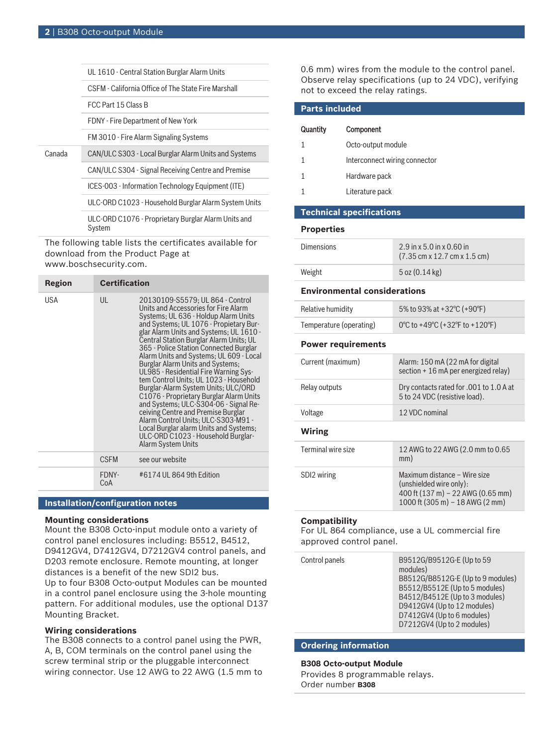|        | UL 1610 - Central Station Burglar Alarm Units                                                 |
|--------|-----------------------------------------------------------------------------------------------|
|        | CSFM - California Office of The State Fire Marshall                                           |
|        | FCC Part 15 Class B                                                                           |
|        | FDNY - Fire Department of New York                                                            |
|        | FM 3010 - Fire Alarm Signaling Systems                                                        |
| Canada | CAN/ULC S303 - Local Burglar Alarm Units and Systems                                          |
|        | CAN/ULC S304 - Signal Receiving Centre and Premise                                            |
|        | ICES-003 - Information Technology Equipment (ITE)                                             |
|        | ULC-ORD C1023 - Household Burglar Alarm System Units                                          |
|        | ULC-ORD C1076 - Proprietary Burglar Alarm Units and<br>System                                 |
|        | The following table lists the certificates available for<br>download from the Product Page at |

www.boschsecurity.com.

| Region | <b>Certification</b> |                                                                                                                                                                                                                                                                                                                                                                                                                                                                                                                                                                                                                                                                                                                                                                                   |
|--------|----------------------|-----------------------------------------------------------------------------------------------------------------------------------------------------------------------------------------------------------------------------------------------------------------------------------------------------------------------------------------------------------------------------------------------------------------------------------------------------------------------------------------------------------------------------------------------------------------------------------------------------------------------------------------------------------------------------------------------------------------------------------------------------------------------------------|
| USA    | UL                   | 20130109-S5579; UL 864 - Control<br>Units and Accessories for Fire Alarm<br>Systems; UL 636 - Holdup Alarm Units<br>and Systems; UL 1076 - Propietary Bur-<br>glar Alarm Units and Systems; UL 1610 -<br>Central Station Burglar Alarm Units; UL<br>365 - Police Station Connected Burglar<br>Alarm Units and Systems; UL 609 - Local<br><b>Burglar Alarm Units and Systems:</b><br>UL985 - Residential Fire Warning Sys-<br>tem Control Units; UL 1023 - Household<br>Burglar-Alarm System Units; ULC/ORD<br>C1076 - Proprietary Burglar Alarm Units<br>and Systems; ULC-S304-06 - Signal Re-<br>ceiving Centre and Premise Burglar<br>Alarm Control Units; ULC-S303-M91 -<br>Local Burglar alarm Units and Systems;<br>ULC-ORD C1023 - Household Burglar-<br>Alarm System Units |
|        | <b>CSFM</b>          | see our website                                                                                                                                                                                                                                                                                                                                                                                                                                                                                                                                                                                                                                                                                                                                                                   |
|        | FDNY-<br>CoA         | #6174 UL 864 9th Edition                                                                                                                                                                                                                                                                                                                                                                                                                                                                                                                                                                                                                                                                                                                                                          |
|        |                      |                                                                                                                                                                                                                                                                                                                                                                                                                                                                                                                                                                                                                                                                                                                                                                                   |

# **Installation/configuration notes**

### **Mounting considerations**

Mount the B308 Octo-input module onto a variety of control panel enclosures including: B5512, B4512, D9412GV4, D7412GV4, D7212GV4 control panels, and D203 remote enclosure. Remote mounting, at longer distances is a benefit of the new SDI2 bus.

Up to four B308 Octo-output Modules can be mounted in a control panel enclosure using the 3-hole mounting pattern. For additional modules, use the optional D137 Mounting Bracket.

# **Wiring considerations**

The B308 connects to a control panel using the PWR, A, B, COM terminals on the control panel using the screw terminal strip or the pluggable interconnect wiring connector. Use 12 AWG to 22 AWG (1.5 mm to 0.6 mm) wires from the module to the control panel. Observe relay specifications (up to 24 VDC), verifying not to exceed the relay ratings.

| <b>Parts included</b> |                               |
|-----------------------|-------------------------------|
| Quantity              | Component                     |
|                       | Octo-output module            |
| 1                     | Interconnect wiring connector |
|                       | Hardware pack                 |
|                       | Literature pack               |
|                       |                               |

# **Technical specifications**

### **Properties**

| <b>Dimensions</b> | $2.9$ in x 5.0 in x 0.60 in<br>$(7.35 \text{ cm} \times 12.7 \text{ cm} \times 1.5 \text{ cm})$ |
|-------------------|-------------------------------------------------------------------------------------------------|
| Weight            | $5$ oz $(0.14 \text{ kg})$                                                                      |

#### **Environmental considerations**

| 0°C to +49°C (+32°F to +120°F)<br>Temperature (operating) | Relative humidity | 5% to 93% at +32 °C (+90 °F) |
|-----------------------------------------------------------|-------------------|------------------------------|
|                                                           |                   |                              |

# **Power requirements**

| Current (maximum)  | Alarm: 150 mA (22 mA for digital<br>section $+16$ mA per energized relay) |
|--------------------|---------------------------------------------------------------------------|
| Relay outputs      | Dry contacts rated for .001 to 1.0 A at<br>5 to 24 VDC (resistive load).  |
| Voltage            | 12 VDC nominal                                                            |
|                    |                                                                           |
| Wiring             |                                                                           |
| Terminal wire size | 12 AWG to 22 AWG (2.0 mm to 0.65<br>mm)                                   |

400 ft (137 m) – 22 AWG (0.65 mm) 1000 ft (305 m) – 18 AWG (2 mm)

# **Compatibility**

For UL 864 compliance, use a UL commercial fire approved control panel.

| B9512G/B9512G-E (Up to 59<br>Control panels                                                                                                                                                                  |
|--------------------------------------------------------------------------------------------------------------------------------------------------------------------------------------------------------------|
| modules)<br>B8512G/B8512G-E (Up to 9 modules)<br>B5512/B5512E (Up to 5 modules)<br>B4512/B4512E (Up to 3 modules)<br>D9412GV4 (Up to 12 modules)<br>D7412GV4 (Up to 6 modules)<br>D7212GV4 (Up to 2 modules) |

# **Ordering information**

#### **B308 Octo-output Module**

Provides 8 programmable relays. Order number **B308**